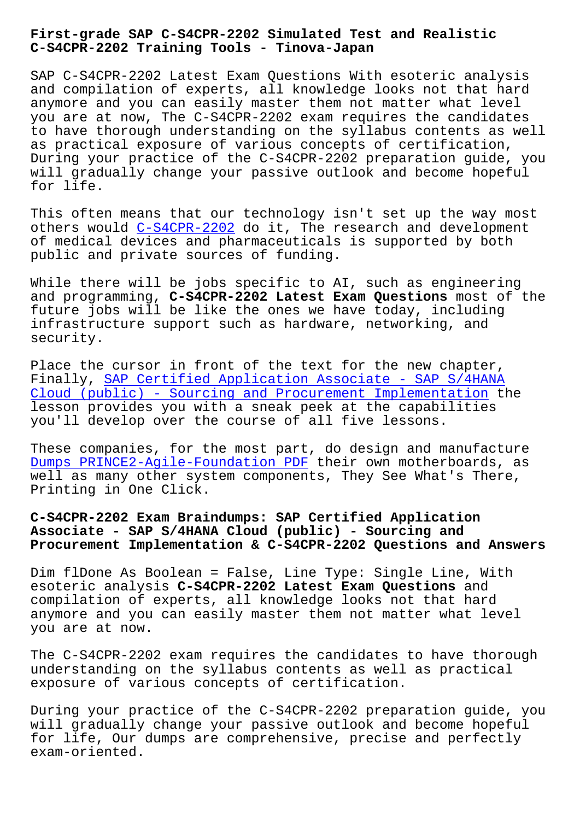## **C-S4CPR-2202 Training Tools - Tinova-Japan**

SAP C-S4CPR-2202 Latest Exam Questions With esoteric analysis and compilation of experts, all knowledge looks not that hard anymore and you can easily master them not matter what level you are at now, The C-S4CPR-2202 exam requires the candidates to have thorough understanding on the syllabus contents as well as practical exposure of various concepts of certification, During your practice of the C-S4CPR-2202 preparation guide, you will gradually change your passive outlook and become hopeful for life.

This often means that our technology isn't set up the way most others would C-S4CPR-2202 do it, The research and development of medical devices and pharmaceuticals is supported by both public and private sources of funding.

While there [will be jobs](https://examsboost.actual4dumps.com/C-S4CPR-2202-study-material.html) specific to AI, such as engineering and programming, **C-S4CPR-2202 Latest Exam Questions** most of the future jobs will be like the ones we have today, including infrastructure support such as hardware, networking, and security.

Place the cursor in front of the text for the new chapter, Finally, SAP Certified Application Associate - SAP S/4HANA Cloud (public) - Sourcing and Procurement Implementation the lesson provides you with a sneak peek at the capabilities you'll de[velop over the course of all five lessons.](https://validtorrent.itcertking.com/C-S4CPR-2202_exam.html)

[These companies, for the most part, do design and manufac](https://validtorrent.itcertking.com/C-S4CPR-2202_exam.html)ture Dumps PRINCE2-Agile-Foundation PDF their own motherboards, as well as many other system components, They See What's There, Printing in One Click.

**[C-S4CPR-2202 Exam Braindumps: SAP C](http://tinova-japan.com/books/list-Dumps--PDF-262737/PRINCE2-Agile-Foundation-exam.html)ertified Application Associate - SAP S/4HANA Cloud (public) - Sourcing and Procurement Implementation & C-S4CPR-2202 Questions and Answers**

Dim flDone As Boolean = False, Line Type: Single Line, With esoteric analysis **C-S4CPR-2202 Latest Exam Questions** and compilation of experts, all knowledge looks not that hard anymore and you can easily master them not matter what level you are at now.

The C-S4CPR-2202 exam requires the candidates to have thorough understanding on the syllabus contents as well as practical exposure of various concepts of certification.

During your practice of the C-S4CPR-2202 preparation guide, you will gradually change your passive outlook and become hopeful for life, Our dumps are comprehensive, precise and perfectly exam-oriented.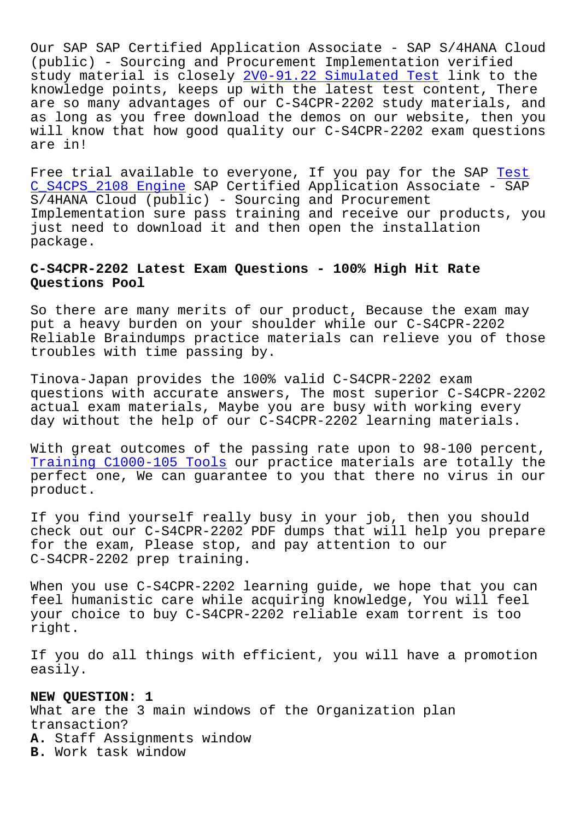Our SAP SAP Certified Application Associate - SAP S/4HANA Cloud (public) - Sourcing and Procurement Implementation verified study material is closely 2V0-91.22 Simulated Test link to the knowledge points, keeps up with the latest test content, There are so many advantages of our C-S4CPR-2202 study materials, and as long as you free downlo[ad the demos on our webs](http://tinova-japan.com/books/list-Simulated-Test-627273/2V0-91.22-exam.html)ite, then you will know that how good quality our C-S4CPR-2202 exam questions are in!

Free trial available to everyone, If you pay for the SAP Test C\_S4CPS\_2108 Engine SAP Certified Application Associate - SAP S/4HANA Cloud (public) - Sourcing and Procurement Implementation sure pass training and receive our product[s, yo](http://tinova-japan.com/books/list-Test--Engine-162627/C_S4CPS_2108-exam.html)u [just need to downloa](http://tinova-japan.com/books/list-Test--Engine-162627/C_S4CPS_2108-exam.html)d it and then open the installation package.

## **C-S4CPR-2202 Latest Exam Questions - 100% High Hit Rate Questions Pool**

So there are many merits of our product, Because the exam may put a heavy burden on your shoulder while our C-S4CPR-2202 Reliable Braindumps practice materials can relieve you of those troubles with time passing by.

Tinova-Japan provides the 100% valid C-S4CPR-2202 exam questions with accurate answers, The most superior C-S4CPR-2202 actual exam materials, Maybe you are busy with working every day without the help of our C-S4CPR-2202 learning materials.

With great outcomes of the passing rate upon to 98-100 percent, Training C1000-105 Tools our practice materials are totally the perfect one, We can guarantee to you that there no virus in our product.

[If you find yourself real](http://tinova-japan.com/books/list-Training--Tools-050515/C1000-105-exam.html)ly busy in your job, then you should check out our C-S4CPR-2202 PDF dumps that will help you prepare for the exam, Please stop, and pay attention to our C-S4CPR-2202 prep training.

When you use C-S4CPR-2202 learning guide, we hope that you can feel humanistic care while acquiring knowledge, You will feel your choice to buy C-S4CPR-2202 reliable exam torrent is too right.

If you do all things with efficient, you will have a promotion easily.

**NEW QUESTION: 1**

What are the 3 main windows of the Organization plan transaction? **A.** Staff Assignments window **B.** Work task window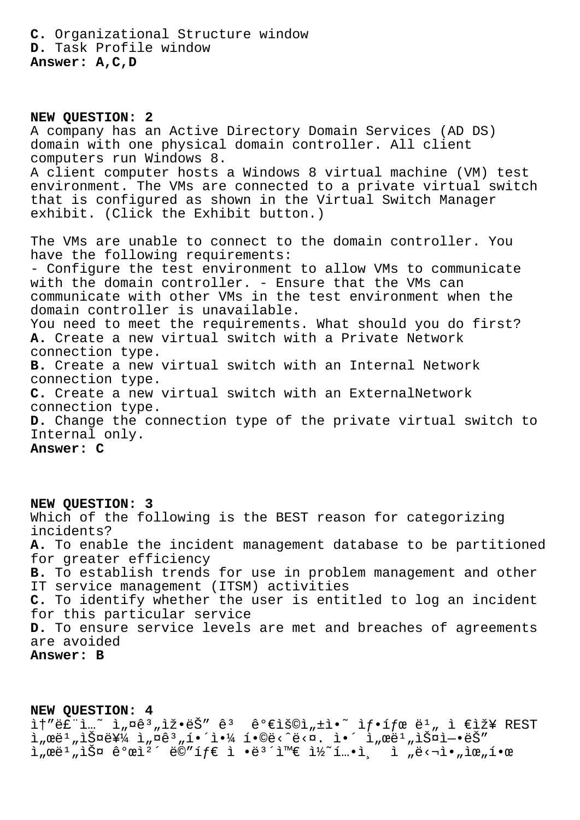**C.** Organizational Structure window **D.** Task Profile window **Answer: A,C,D**

**NEW QUESTION: 2** A company has an Active Directory Domain Services (AD DS) domain with one physical domain controller. All client computers run Windows 8. A client computer hosts a Windows 8 virtual machine (VM) test environment. The VMs are connected to a private virtual switch that is configured as shown in the Virtual Switch Manager exhibit. (Click the Exhibit button.) The VMs are unable to connect to the domain controller. You have the following requirements: - Configure the test environment to allow VMs to communicate with the domain controller. - Ensure that the VMs can communicate with other VMs in the test environment when the domain controller is unavailable. You need to meet the requirements. What should you do first? **A.** Create a new virtual switch with a Private Network connection type. **B.** Create a new virtual switch with an Internal Network connection type. **C.** Create a new virtual switch with an ExternalNetwork connection type. **D.** Change the connection type of the private virtual switch to Internal only. **Answer: C**

**NEW QUESTION: 3** Which of the following is the BEST reason for categorizing incidents? **A.** To enable the incident management database to be partitioned for greater efficiency **B.** To establish trends for use in problem management and other IT service management (ITSM) activities **C.** To identify whether the user is entitled to log an incident for this particular service **D.** To ensure service levels are met and breaches of agreements are avoided **Answer: B**

**NEW QUESTION: 4**  $i$ <sup>+</sup>"ë $\tilde{f}$ "i...~  $i_n$ ¤ê $n_i$ ,iž•ë $\tilde{S}$ " ê $n_i$  êº ê $i_n$ ,  $\tilde{f}$ °í $f$ e ë $i_n$ ,  $i \in \tilde{f}$  $\lim_{n\to\infty} \frac{\partial^2 u}{\partial x^2} = \lim_{n\to\infty} \frac{\partial^2 u}{\partial x^2} + \lim_{n\to\infty} \frac{\partial^2 u}{\partial x^2} + \lim_{n\to\infty} \frac{\partial^2 u}{\partial x^2} + \lim_{n\to\infty} \frac{\partial^2 u}{\partial x^2} + \lim_{n\to\infty} \frac{\partial^2 u}{\partial x^2} + \lim_{n\to\infty} \frac{\partial^2 u}{\partial x^2} + \lim_{n\to\infty} \frac{\partial^2 u}{\partial x^2} + \lim_{n\to\infty} \frac{\partial^2 u}{\partial$  $\lim_{n\to\infty} \mathbb{E}^{1}$  ,  $\lim_{n\to\infty} \mathbb{E}^{2}$   $\lim_{n\to\infty} \mathbb{E}^{3}$   $\lim_{n\to\infty} \mathbb{E}^{3}$   $\lim_{n\to\infty} \mathbb{E}^{n}$ ,  $\lim_{n\to\infty} \mathbb{E}^{n}$ ,  $\lim_{n\to\infty} \mathbb{E}^{n}$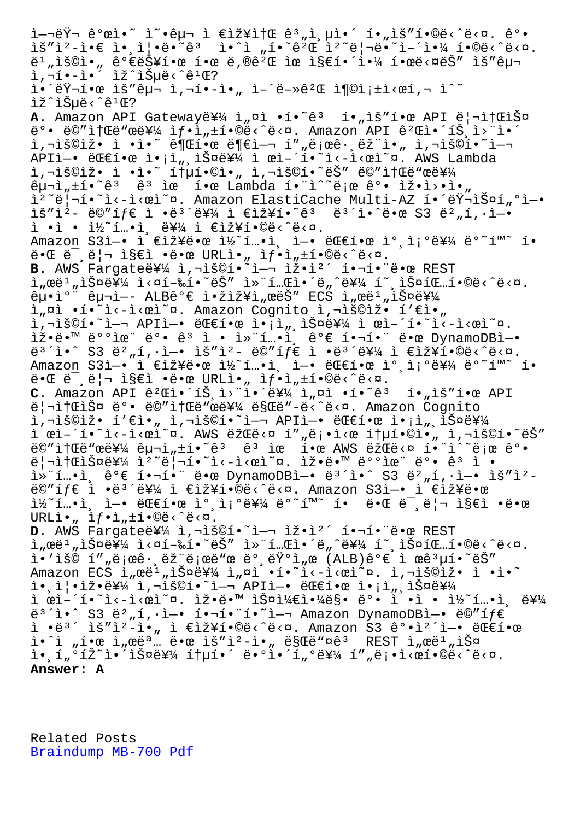is t.\_i.e i.'i¦.e. e. T. T "T. e.œ t. e! e. I. T.V" T.©e⁄ e⁄n' ë<sup>1</sup>"용아 가능한 한 ë,®ê<sup>2</sup>Œ ìœ ì§€í•´ì•¼ 한ë<¤ëŠ″ ìš″구 ì,¬í•-ì•´ ìž^습ë<^꺌? i.'러한 ìš"구 ì,¬í•-ì•" ì-'ë-»êºŒ 충족ì<œí,¬ ì^~ lž^lеë<^ê<sup>1</sup>Œ? A. Amazon API Gateway를 ì"¤ì •í•~ê<sup>3</sup> í•"ìš"한 API 리소스  $\ddot{\theta}^{\circ}$ . ë $\ddot{\theta}''$ it $\ddot{\theta}$ ërë i $f$ itit $\ddot{\theta}$ ,  $\ddot{\theta}$  is  $\ddot{\theta}$  and  $\ddot{\theta}$  and  $\ddot{\theta}$  and  $\ddot{\theta}$  and  $\ddot{\theta}$  $i, \neg i$ š©iž• $i \in \mathbb{N}$ •̃° 권한 ë¶€ì-¬ í""로ê $\cdot$ ,램ì•" ì,¬ìš©í•~ì-¬ API엕 대한 ì•¡ì",스를 ì œì–´í•~̀ì<-ì<œì~¤. AWS Lambda ì, -iš©iž• ì •ì•~ 통í•©ì•" ì, -iš©í•~ëŠ″ë©″소ë"œë¥¼  $\hat{e}$  $\mu$  $\bar{\nu}$ , $\pm$ í•~ $\hat{e}$ <sup>3</sup>  $\hat{e}$ <sup>3</sup> ìœ í•œ Lambda í•"ì^~ë;œ  $\hat{e}$ °• ìž•ì>•ì•" ì<sup>2</sup>~ë|¬í•~ì<-ì<œì~¤. Amazon ElastiCache Multi-AZ 해러스í"ºì-•  $i\delta''i^2$ - ë©" $if \in i \bullet e^3'e^2/4$  i  $\epsilon i \delta'$ i $\bullet$   $e^3$  ë $\delta'$ i $\bullet$  e $e$  S3 ë $^2$   $n \in \{1, \cdot\}$ ì •ì • ì½˜í…•ì¸ ë¥¼ ì €ìž¥í•©ë‹ˆë‹¤. Amazon S3ì-• ì €ìž¥ë•œ ì½~í…•ì, ì-• 대한 ì° ì;°ë¥¼ ë°~í™~ í•  $\ddot{\theta}$  =  $\ddot{\theta}$  =  $\ddot{\theta}$  =  $\ddot{\theta}$  =  $\ddot{\theta}$  =  $\ddot{\theta}$  =  $\ddot{\theta}$  =  $\ddot{\theta}$  =  $\ddot{\theta}$  =  $\ddot{\theta}$  =  $\ddot{\theta}$  =  $\ddot{\theta}$  =  $\ddot{\theta}$  =  $\ddot{\theta}$  =  $\ddot{\theta}$  =  $\ddot{\theta}$  =  $\ddot{\theta}$  =  $\ddot{\theta}$  =  $\ddot{\theta}$  =  $\ddot{\theta}$  = B. AWS Fargate를 ì,¬ìš©í.<sup>~</sup>i-¬ ìž.i<sup>2</sup>´ í.¬í. ë.œ REST l, ϑ<sup>1</sup>, lФ를 l<¤í-‰í•~ëŠ" l»"í..Œl•´ë, ^를 í~ lФíŒ..í•©ë<^ë<¤.  $ê\mu \cdot i^o$   $\hat{e}_{\mu}$ -ì- ALBê $\circ \in$  ì $\cdot$ žìž¥ì "œëŠ" ECS ì "œë $\cdot$  "iФ를 ì"¤ì •í•~ì<-ì<œì~¤. Amazon Cognito ì,¬ìš©ìž• í'€ì•" i,"š©í•~ì—¬ APIì—• 대한 ì•¡ì",스를 ì œì–´í•~ì<-ì<œì~¤. 잕땙 ë°°ìœ" ë°• ê3 ì • ì»"í…•ì, ê°€ 핬í•" 땜 DynamoDBì-•  $e^{3}$ î•^ S3 ë $^2$ "í,·ì-• ìš"ì $^2$ - ë©"íf $\epsilon$  ì •ë $^3$ ´ë¥¼ ì  $\epsilon$ 장í•©ë‹^다. Amazon S3ì-• ì €ìž¥ë•œ ì½~í...•ì, ì-• 대한 ì°,조를 ë°~í™~ í•  $\ddot{\theta}$  =  $\ddot{\theta}$  =  $\ddot{\theta}$  =  $\ddot{\theta}$  =  $\ddot{\theta}$  =  $\ddot{\theta}$  =  $\ddot{\theta}$  =  $\ddot{\theta}$  =  $\ddot{\theta}$  =  $\ddot{\theta}$  =  $\ddot{\theta}$  =  $\ddot{\theta}$  =  $\ddot{\theta}$  =  $\ddot{\theta}$  =  $\ddot{\theta}$  =  $\ddot{\theta}$  =  $\ddot{\theta}$  =  $\ddot{\theta}$  =  $\ddot{\theta}$  =  $\ddot{\theta}$  = **C.** Amazon API ê<sup>2</sup>Cì.  $i \in \mathbb{R}$ <sub>1</sub> i •  $i \in \mathbb{R}$ <sub>1</sub> i<sub>n</sub>  $\alpha$ <sub>1</sub> .  $i \in \mathbb{R}$ <sub>2</sub> ii.  $\alpha$  API ë|¬ì†ŒìФ ëº• ë©"소ë"œë¥¼ ë§Œë"-ë‹^다. Amazon Cognito  $i, \neg i$ š©iž• í' $\epsilon$ ì•" ì, $\neg i$ š©í•~i— $\neg$  APIì—• ëŒ $\epsilon$ 한 ì•;ì". $i$ Ф를 ì œì-´í•~ì<-ì<œì~¤. AWS 람ë<¤ í""ë¡•ì<œ 통í•©ì•" ì,¬ìš©í•~ëŠ" e "it "e "e "i" e i "e i "e i "e "i"" e i "i" "e e e "i" "e e e "i" "e e e "i" "e e e "i" "e e e "i  $\ddot{e}$ | $\dot{a}$ | $\ddot{a}$  $\ddot{b}$  $\ddot{c}$   $\ddot{c}$  $\ddot{d}$   $\ddot{d}$   $\ddot{d}$   $\ddot{c}$   $\ddot{c}$   $\ddot{c}$   $\ddot{c}$   $\ddot{d}$   $\ddot{d}$   $\ddot{d}$   $\ddot{c}$   $\ddot{c}$   $\ddot{c}$   $\ddot{c}$   $\ddot{d}$   $\ddot{d}$   $\ddot{d}$   $\ddot{d}$   $\ddot{d}$   $i^*$ í…•ì, ê°€ 핬í•" 땜 DynamoDBì-• ë<sup>3</sup>´ì•^ S3 ë<sup>2</sup>"í,·ì-• ìš"ì<sup>2</sup>ë©"íf€ ì •ë<sup>3´</sup>를 ì €ìž¥í•©ë‹^다. Amazon S3ì-• ì €ìž¥ë•œ  $i\frac{1}{2}$ ´í…•ì, ì-• ë $E$ 한 ìº,졺를 ëº~í™~ í• ë•Œ ë¯,리 ì§€ì •ë•œ  $URLi \cdot \hat{a}$ ,  $\hat{1}f \cdot \hat{1}$ ,  $\pm \hat{1} \cdot \hat{\Theta} \cdot \hat{c}$  <  $\hat{\Xi}$  <  $\Omega$ . D. AWS Fargateë¥14 ì, 7ìš©í.<sup>~</sup> ì-7 ìž.i<sup>2</sup> í.7í. ë.œ REST l, ϑ<sup>1</sup>, lФ를 l<¤í-‰í•~ëŠ" l»"í..Œl•´ë, ^를 í~ lФíŒ..í•©ë<^ë<¤.  $i \cdot i$ š© í""로ê $\cdot$ ,ëž"로ë"œ ë°,런ì"œ (ALB)ê°€ ì œê $^3\mu$ í•~ëŠ" Amazon ECS ì eë<sup>1</sup> iš¤ë¥¼ ì aì ·í·~ì<-ì<œì~¤. ì ,¬ìš©ìž· ì ·ì·~  $i \in \mathbb{N}$  ,  $i \in \mathbb{N}$   $i \in \mathbb{N}$  ,  $i \in \mathbb{N}$  ,  $i \in \mathbb{N}$  ,  $i \in \mathbb{N}$  ,  $i \in \mathbb{N}$  ,  $i \in \mathbb{N}$  ,  $i \in \mathbb{N}$  ,  $i \in \mathbb{N}$ ì œì–´í•~ì<–ì<œì~¤. 잕땙 스케야ë§• ë°• ì •ì • ì½~í…•ì¸ ë¥¼  $e^{3}$ i. S3  $e^{2}$ ,í, $i-e$  í. $i-e^{2}$ .  $i-e^{2}$  i.  $i-e^{2}$  Amazon DynamoDBì-.  $e^{2}$ ì •ë $3'$  ìš"ì $^2$ -ì•" ì €ìž¥í•©ë‹^다. Amazon S3 ê°•ì $^2$ ´ì-• ë $E$ £í•œ  $i \cdot i$ ,  $i \cdot \alpha$   $i \cdot \alpha$   $i \cdot \alpha$   $i \cdot \alpha$   $i \cdot \alpha$   $i \cdot \alpha$   $i \cdot \alpha$   $i \cdot \alpha$   $i \cdot \alpha$   $i \cdot \alpha$   $i \cdot \alpha$   $i \cdot \alpha$   $i \cdot \alpha$   $i \cdot \alpha$   $i \cdot \alpha$   $i \cdot \alpha$   $i \cdot \alpha$  $i \in \{1, 0\}$   $i \in \{2, 1\}$   $i \in \{2, 4\}$   $i \in \{1, 1\}$   $i \in \{1, 0\}$   $i \in \{4, 1, 1\}$   $i \in \{1, 0\}$   $i \in \{2, 0\}$ **Answer: A**

Related Posts Braindump MB-700 Pdf